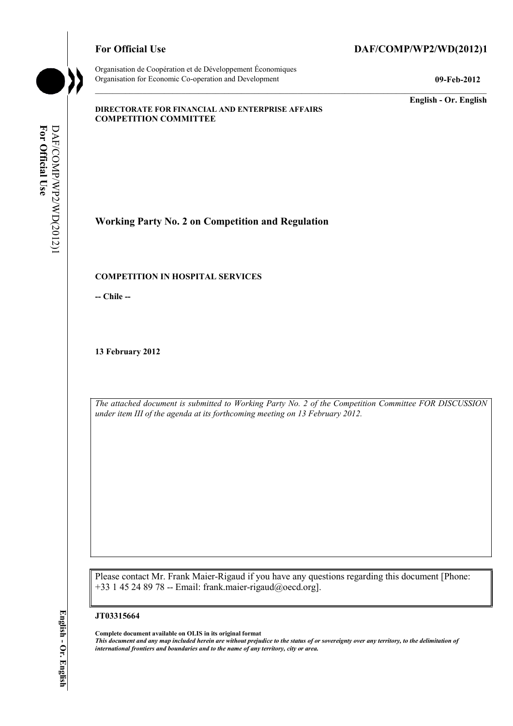Organisation de Coopération et de Développement Économiques Organisation for Economic Co-operation and Development **09-Feb-2012** 

# For Official Use DAF/COMP/WP2/WD(2012)1

**English - Or. English** 

#### **DIRECTORATE FOR FINANCIAL AND ENTERPRISE AFFAIRS COMPETITION COMMITTEE**

For Official Use **For Official Use**  DAF/COMP/WP2/WD(2012)1 DAF/COMP/WP2/WD(2012)1

**Working Party No. 2 on Competition and Regulation** 

#### **COMPETITION IN HOSPITAL SERVICES**

**-- Chile --** 

**13 February 2012** 

*The attached document is submitted to Working Party No. 2 of the Competition Committee FOR DISCUSSION under item III of the agenda at its forthcoming meeting on 13 February 2012.* 

Please contact Mr. Frank Maier-Rigaud if you have any questions regarding this document [Phone: +33 1 45 24 89 78 -- Email: frank.maier-rigaud@oecd.org].

#### **JT03315664**

**Complete document available on OLIS in its original format**

*This document and any map included herein are without prejudice to the status of or sovereignty over any territory, to the delimitation of international frontiers and boundaries and to the name of any territory, city or area.*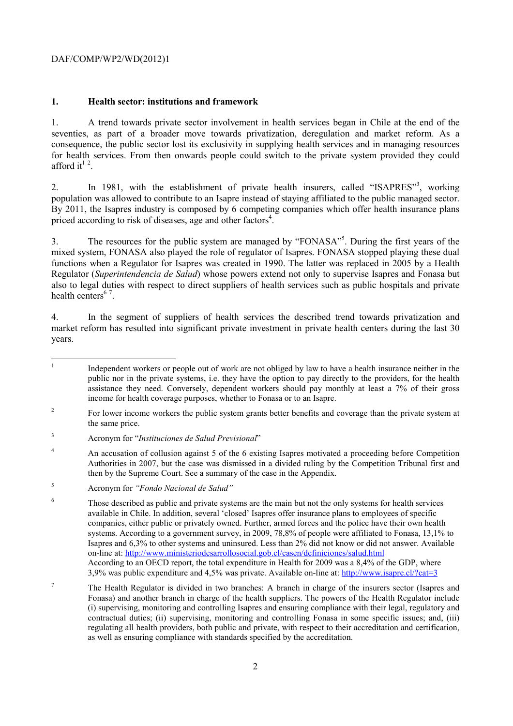### **1. Health sector: institutions and framework**

1. A trend towards private sector involvement in health services began in Chile at the end of the seventies, as part of a broader move towards privatization, deregulation and market reform. As a consequence, the public sector lost its exclusivity in supplying health services and in managing resources for health services. From then onwards people could switch to the private system provided they could afford it<sup> $12$ </sup>.

2. In 1981, with the establishment of private health insurers, called "ISAPRES"<sup>3</sup>, working population was allowed to contribute to an Isapre instead of staying affiliated to the public managed sector. By 2011, the Isapres industry is composed by 6 competing companies which offer health insurance plans priced according to risk of diseases, age and other factors<sup>4</sup>.

3. The resources for the public system are managed by "FONASA"5 . During the first years of the mixed system, FONASA also played the role of regulator of Isapres. FONASA stopped playing these dual functions when a Regulator for Isapres was created in 1990. The latter was replaced in 2005 by a Health Regulator (*Superintendencia de Salud*) whose powers extend not only to supervise Isapres and Fonasa but also to legal duties with respect to direct suppliers of health services such as public hospitals and private health centers<sup>67</sup>.

4. In the segment of suppliers of health services the described trend towards privatization and market reform has resulted into significant private investment in private health centers during the last 30 years.

 $\frac{1}{1}$  Independent workers or people out of work are not obliged by law to have a health insurance neither in the public nor in the private systems, i.e. they have the option to pay directly to the providers, for the health assistance they need. Conversely, dependent workers should pay monthly at least a 7% of their gross income for health coverage purposes, whether to Fonasa or to an Isapre.

<sup>2</sup> For lower income workers the public system grants better benefits and coverage than the private system at the same price.

<sup>3</sup> Acronym for "*Instituciones de Salud Previsional*"

<sup>4</sup> An accusation of collusion against 5 of the 6 existing Isapres motivated a proceeding before Competition Authorities in 2007, but the case was dismissed in a divided ruling by the Competition Tribunal first and then by the Supreme Court. See a summary of the case in the Appendix.

<sup>5</sup> Acronym for *"Fondo Nacional de Salud"*

<sup>6</sup> Those described as public and private systems are the main but not the only systems for health services available in Chile. In addition, several 'closed' Isapres offer insurance plans to employees of specific companies, either public or privately owned. Further, armed forces and the police have their own health systems. According to a government survey, in 2009, 78,8% of people were affiliated to Fonasa, 13,1% to Isapres and 6,3% to other systems and uninsured. Less than 2% did not know or did not answer. Available on-line at: http://www.ministeriodesarrollosocial.gob.cl/casen/definiciones/salud.html According to an OECD report, the total expenditure in Health for 2009 was a 8,4% of the GDP, where 3,9% was public expenditure and 4,5% was private. Available on-line at: http://www.isapre.cl/?cat=3

<sup>7</sup> The Health Regulator is divided in two branches: A branch in charge of the insurers sector (Isapres and Fonasa) and another branch in charge of the health suppliers. The powers of the Health Regulator include (i) supervising, monitoring and controlling Isapres and ensuring compliance with their legal, regulatory and contractual duties; (ii) supervising, monitoring and controlling Fonasa in some specific issues; and, (iii) regulating all health providers, both public and private, with respect to their accreditation and certification, as well as ensuring compliance with standards specified by the accreditation.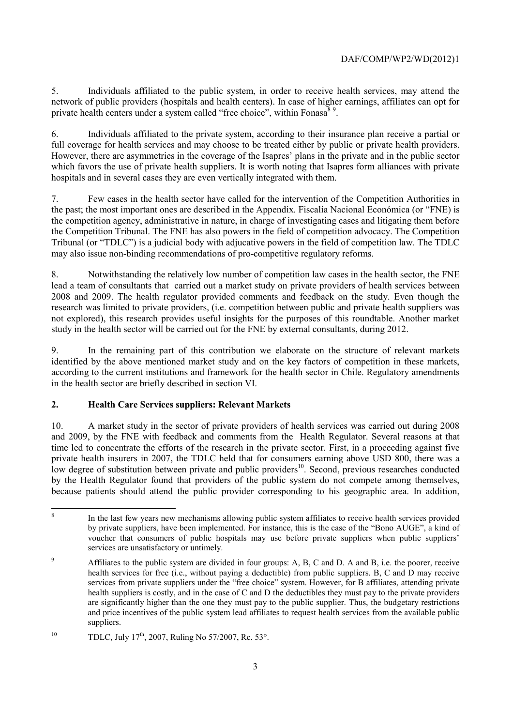5. Individuals affiliated to the public system, in order to receive health services, may attend the network of public providers (hospitals and health centers). In case of higher earnings, affiliates can opt for private health centers under a system called "free choice", within Fonasa $8^9$ .

6. Individuals affiliated to the private system, according to their insurance plan receive a partial or full coverage for health services and may choose to be treated either by public or private health providers. However, there are asymmetries in the coverage of the Isapres' plans in the private and in the public sector which favors the use of private health suppliers. It is worth noting that Isapres form alliances with private hospitals and in several cases they are even vertically integrated with them.

7. Few cases in the health sector have called for the intervention of the Competition Authorities in the past; the most important ones are described in the Appendix. Fiscalía Nacional Económica (or "FNE) is the competition agency, administrative in nature, in charge of investigating cases and litigating them before the Competition Tribunal. The FNE has also powers in the field of competition advocacy. The Competition Tribunal (or "TDLC") is a judicial body with adjucative powers in the field of competition law. The TDLC may also issue non-binding recommendations of pro-competitive regulatory reforms.

8. Notwithstanding the relatively low number of competition law cases in the health sector, the FNE lead a team of consultants that carried out a market study on private providers of health services between 2008 and 2009. The health regulator provided comments and feedback on the study. Even though the research was limited to private providers, (i.e. competition between public and private health suppliers was not explored), this research provides useful insights for the purposes of this roundtable. Another market study in the health sector will be carried out for the FNE by external consultants, during 2012.

9. In the remaining part of this contribution we elaborate on the structure of relevant markets identified by the above mentioned market study and on the key factors of competition in these markets, according to the current institutions and framework for the health sector in Chile. Regulatory amendments in the health sector are briefly described in section VI.

# **2. Health Care Services suppliers: Relevant Markets**

10. A market study in the sector of private providers of health services was carried out during 2008 and 2009, by the FNE with feedback and comments from the Health Regulator. Several reasons at that time led to concentrate the efforts of the research in the private sector. First, in a proceeding against five private health insurers in 2007, the TDLC held that for consumers earning above USD 800, there was a low degree of substitution between private and public providers<sup>10</sup>. Second, previous researches conducted by the Health Regulator found that providers of the public system do not compete among themselves, because patients should attend the public provider corresponding to his geographic area. In addition,

 8 In the last few years new mechanisms allowing public system affiliates to receive health services provided by private suppliers, have been implemented. For instance, this is the case of the "Bono AUGE", a kind of voucher that consumers of public hospitals may use before private suppliers when public suppliers' services are unsatisfactory or untimely.

<sup>9</sup> Affiliates to the public system are divided in four groups: A, B, C and D. A and B, i.e. the poorer, receive health services for free (i.e., without paying a deductible) from public suppliers. B, C and D may receive services from private suppliers under the "free choice" system. However, for B affiliates, attending private health suppliers is costly, and in the case of C and D the deductibles they must pay to the private providers are significantly higher than the one they must pay to the public supplier. Thus, the budgetary restrictions and price incentives of the public system lead affiliates to request health services from the available public suppliers.

<sup>&</sup>lt;sup>10</sup> TDLC, July 17<sup>th</sup>, 2007, Ruling No 57/2007, Rc. 53°.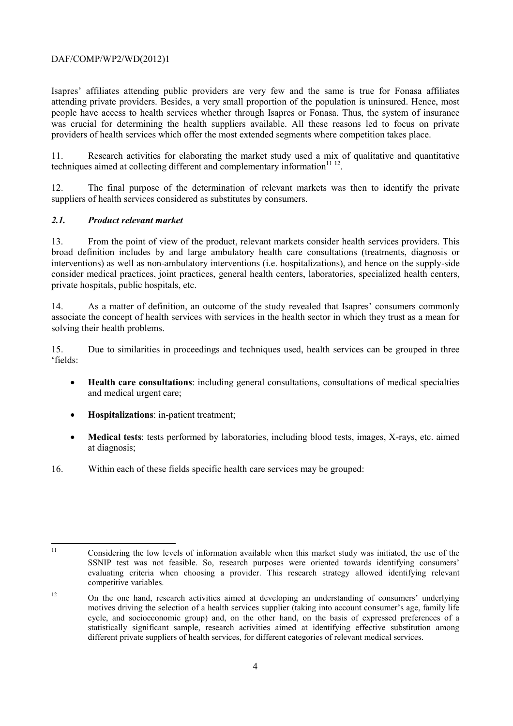Isapres' affiliates attending public providers are very few and the same is true for Fonasa affiliates attending private providers. Besides, a very small proportion of the population is uninsured. Hence, most people have access to health services whether through Isapres or Fonasa. Thus, the system of insurance was crucial for determining the health suppliers available. All these reasons led to focus on private providers of health services which offer the most extended segments where competition takes place.

11. Research activities for elaborating the market study used a mix of qualitative and quantitative techniques aimed at collecting different and complementary information $11 12$ .

12. The final purpose of the determination of relevant markets was then to identify the private suppliers of health services considered as substitutes by consumers.

#### *2.1. Product relevant market*

13. From the point of view of the product, relevant markets consider health services providers. This broad definition includes by and large ambulatory health care consultations (treatments, diagnosis or interventions) as well as non-ambulatory interventions (i.e. hospitalizations), and hence on the supply-side consider medical practices, joint practices, general health centers, laboratories, specialized health centers, private hospitals, public hospitals, etc.

14. As a matter of definition, an outcome of the study revealed that Isapres' consumers commonly associate the concept of health services with services in the health sector in which they trust as a mean for solving their health problems.

15. Due to similarities in proceedings and techniques used, health services can be grouped in three 'fields:

- **Health care consultations**: including general consultations, consultations of medical specialties and medical urgent care;
- **Hospitalizations**: in-patient treatment;
- **Medical tests**: tests performed by laboratories, including blood tests, images, X-rays, etc. aimed at diagnosis;
- 16. Within each of these fields specific health care services may be grouped:

 $11$ 11 Considering the low levels of information available when this market study was initiated, the use of the SSNIP test was not feasible. So, research purposes were oriented towards identifying consumers' evaluating criteria when choosing a provider. This research strategy allowed identifying relevant competitive variables.

<sup>&</sup>lt;sup>12</sup> On the one hand, research activities aimed at developing an understanding of consumers' underlying motives driving the selection of a health services supplier (taking into account consumer's age, family life cycle, and socioeconomic group) and, on the other hand, on the basis of expressed preferences of a statistically significant sample, research activities aimed at identifying effective substitution among different private suppliers of health services, for different categories of relevant medical services.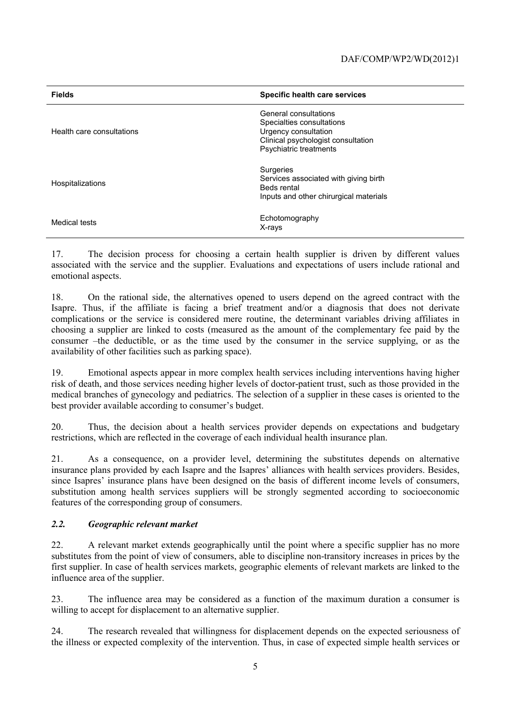| <b>Fields</b>             | Specific health care services                                                                                                              |
|---------------------------|--------------------------------------------------------------------------------------------------------------------------------------------|
| Health care consultations | General consultations<br>Specialties consultations<br>Urgency consultation<br>Clinical psychologist consultation<br>Psychiatric treatments |
| Hospitalizations          | Surgeries<br>Services associated with giving birth<br>Beds rental<br>Inputs and other chirurgical materials                                |
| Medical tests             | Echotomography<br>X-rays                                                                                                                   |

17. The decision process for choosing a certain health supplier is driven by different values associated with the service and the supplier. Evaluations and expectations of users include rational and emotional aspects.

18. On the rational side, the alternatives opened to users depend on the agreed contract with the Isapre. Thus, if the affiliate is facing a brief treatment and/or a diagnosis that does not derivate complications or the service is considered mere routine, the determinant variables driving affiliates in choosing a supplier are linked to costs (measured as the amount of the complementary fee paid by the consumer –the deductible, or as the time used by the consumer in the service supplying, or as the availability of other facilities such as parking space).

19. Emotional aspects appear in more complex health services including interventions having higher risk of death, and those services needing higher levels of doctor-patient trust, such as those provided in the medical branches of gynecology and pediatrics. The selection of a supplier in these cases is oriented to the best provider available according to consumer's budget.

20. Thus, the decision about a health services provider depends on expectations and budgetary restrictions, which are reflected in the coverage of each individual health insurance plan.

21. As a consequence, on a provider level, determining the substitutes depends on alternative insurance plans provided by each Isapre and the Isapres' alliances with health services providers. Besides, since Isapres' insurance plans have been designed on the basis of different income levels of consumers, substitution among health services suppliers will be strongly segmented according to socioeconomic features of the corresponding group of consumers.

# *2.2. Geographic relevant market*

22. A relevant market extends geographically until the point where a specific supplier has no more substitutes from the point of view of consumers, able to discipline non-transitory increases in prices by the first supplier. In case of health services markets, geographic elements of relevant markets are linked to the influence area of the supplier.

23. The influence area may be considered as a function of the maximum duration a consumer is willing to accept for displacement to an alternative supplier.

24. The research revealed that willingness for displacement depends on the expected seriousness of the illness or expected complexity of the intervention. Thus, in case of expected simple health services or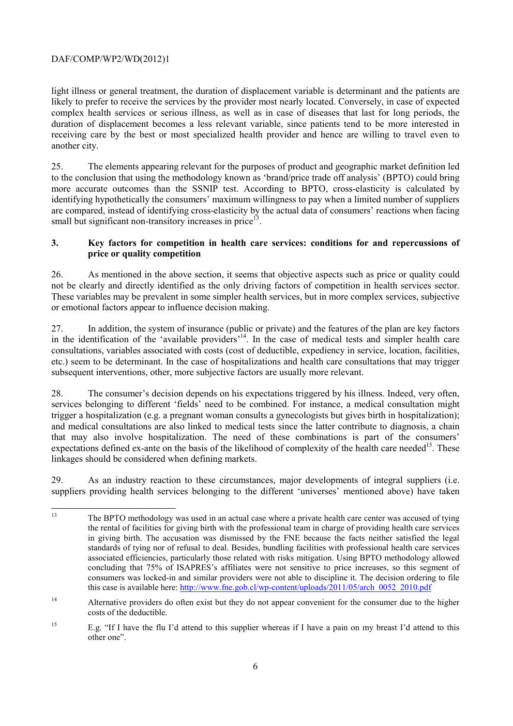light illness or general treatment, the duration of displacement variable is determinant and the patients are likely to prefer to receive the services by the provider most nearly located. Conversely, in case of expected complex health services or serious illness, as well as in case of diseases that last for long periods, the duration of displacement becomes a less relevant variable, since patients tend to be more interested in receiving care by the best or most specialized health provider and hence are willing to travel even to another city.

25. The elements appearing relevant for the purposes of product and geographic market definition led to the conclusion that using the methodology known as 'brand/price trade off analysis' (BPTO) could bring more accurate outcomes than the SSNIP test. According to BPTO, cross-elasticity is calculated by identifying hypothetically the consumers' maximum willingness to pay when a limited number of suppliers are compared, instead of identifying cross-elasticity by the actual data of consumers' reactions when facing small but significant non-transitory increases in price<sup>13</sup>.

# **3. Key factors for competition in health care services: conditions for and repercussions of price or quality competition**

26. As mentioned in the above section, it seems that objective aspects such as price or quality could not be clearly and directly identified as the only driving factors of competition in health services sector. These variables may be prevalent in some simpler health services, but in more complex services, subjective or emotional factors appear to influence decision making.

27. In addition, the system of insurance (public or private) and the features of the plan are key factors in the identification of the 'available providers'<sup>14</sup>. In the case of medical tests and simpler health care consultations, variables associated with costs (cost of deductible, expediency in service, location, facilities, etc.) seem to be determinant. In the case of hospitalizations and health care consultations that may trigger subsequent interventions, other, more subjective factors are usually more relevant.

28. The consumer's decision depends on his expectations triggered by his illness. Indeed, very often, services belonging to different 'fields' need to be combined. For instance, a medical consultation might trigger a hospitalization (e.g. a pregnant woman consults a gynecologists but gives birth in hospitalization); and medical consultations are also linked to medical tests since the latter contribute to diagnosis, a chain that may also involve hospitalization. The need of these combinations is part of the consumers' expectations defined ex-ante on the basis of the likelihood of complexity of the health care needed<sup>15</sup>. These linkages should be considered when defining markets.

29. As an industry reaction to these circumstances, major developments of integral suppliers (i.e. suppliers providing health services belonging to the different 'universes' mentioned above) have taken

 $13$ 13 The BPTO methodology was used in an actual case where a private health care center was accused of tying the rental of facilities for giving birth with the professional team in charge of providing health care services in giving birth. The accusation was dismissed by the FNE because the facts neither satisfied the legal standards of tying nor of refusal to deal. Besides, bundling facilities with professional health care services associated efficiencies, particularly those related with risks mitigation. Using BPTO methodology allowed concluding that 75% of ISAPRES's affiliates were not sensitive to price increases, so this segment of consumers was locked-in and similar providers were not able to discipline it. The decision ordering to file this case is available here: http://www.fne.gob.cl/wp-content/uploads/2011/05/arch\_0052\_2010.pdf

<sup>&</sup>lt;sup>14</sup> Alternative providers do often exist but they do not appear convenient for the consumer due to the higher costs of the deductible.

<sup>&</sup>lt;sup>15</sup> E.g. "If I have the flu I'd attend to this supplier whereas if I have a pain on my breast I'd attend to this other one".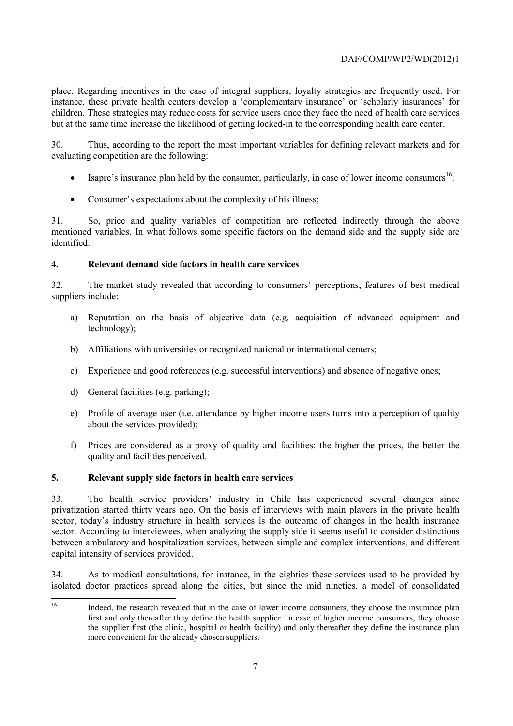place. Regarding incentives in the case of integral suppliers, loyalty strategies are frequently used. For instance, these private health centers develop a 'complementary insurance' or 'scholarly insurances' for children. These strategies may reduce costs for service users once they face the need of health care services but at the same time increase the likelihood of getting locked-in to the corresponding health care center.

30. Thus, according to the report the most important variables for defining relevant markets and for evaluating competition are the following:

- Isapre's insurance plan held by the consumer, particularly, in case of lower income consumers<sup>16</sup>;
- Consumer's expectations about the complexity of his illness;

31. So, price and quality variables of competition are reflected indirectly through the above mentioned variables. In what follows some specific factors on the demand side and the supply side are identified.

# **4. Relevant demand side factors in health care services**

32. The market study revealed that according to consumers' perceptions, features of best medical suppliers include:

- a) Reputation on the basis of objective data (e.g. acquisition of advanced equipment and technology);
- b) Affiliations with universities or recognized national or international centers;
- c) Experience and good references (e.g. successful interventions) and absence of negative ones;
- d) General facilities (e.g. parking);
- e) Profile of average user (i.e. attendance by higher income users turns into a perception of quality about the services provided);
- f) Prices are considered as a proxy of quality and facilities: the higher the prices, the better the quality and facilities perceived.

#### **5. Relevant supply side factors in health care services**

33. The health service providers' industry in Chile has experienced several changes since privatization started thirty years ago. On the basis of interviews with main players in the private health sector, today's industry structure in health services is the outcome of changes in the health insurance sector. According to interviewees, when analyzing the supply side it seems useful to consider distinctions between ambulatory and hospitalization services, between simple and complex interventions, and different capital intensity of services provided.

34. As to medical consultations, for instance, in the eighties these services used to be provided by isolated doctor practices spread along the cities, but since the mid nineties, a model of consolidated

 $16$ Indeed, the research revealed that in the case of lower income consumers, they choose the insurance plan first and only thereafter they define the health supplier. In case of higher income consumers, they choose the supplier first (the clinic, hospital or health facility) and only thereafter they define the insurance plan more convenient for the already chosen suppliers.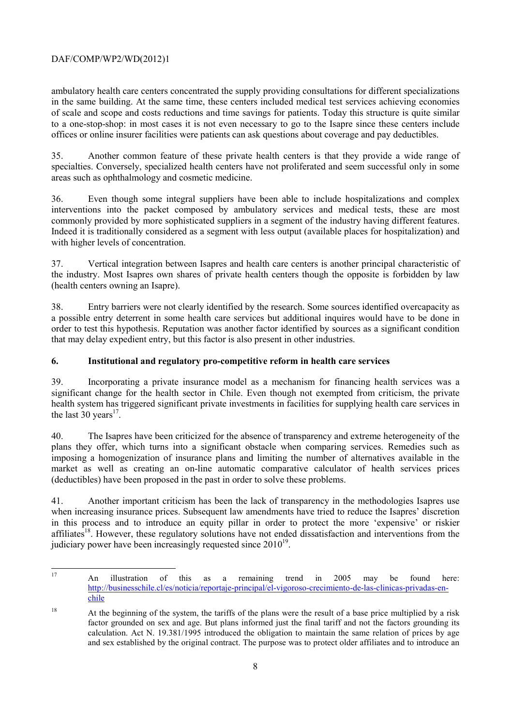ambulatory health care centers concentrated the supply providing consultations for different specializations in the same building. At the same time, these centers included medical test services achieving economies of scale and scope and costs reductions and time savings for patients. Today this structure is quite similar to a one-stop-shop: in most cases it is not even necessary to go to the Isapre since these centers include offices or online insurer facilities were patients can ask questions about coverage and pay deductibles.

35. Another common feature of these private health centers is that they provide a wide range of specialties. Conversely, specialized health centers have not proliferated and seem successful only in some areas such as ophthalmology and cosmetic medicine.

36. Even though some integral suppliers have been able to include hospitalizations and complex interventions into the packet composed by ambulatory services and medical tests, these are most commonly provided by more sophisticated suppliers in a segment of the industry having different features. Indeed it is traditionally considered as a segment with less output (available places for hospitalization) and with higher levels of concentration.

37. Vertical integration between Isapres and health care centers is another principal characteristic of the industry. Most Isapres own shares of private health centers though the opposite is forbidden by law (health centers owning an Isapre).

38. Entry barriers were not clearly identified by the research. Some sources identified overcapacity as a possible entry deterrent in some health care services but additional inquires would have to be done in order to test this hypothesis. Reputation was another factor identified by sources as a significant condition that may delay expedient entry, but this factor is also present in other industries.

# **6. Institutional and regulatory pro-competitive reform in health care services**

39. Incorporating a private insurance model as a mechanism for financing health services was a significant change for the health sector in Chile. Even though not exempted from criticism, the private health system has triggered significant private investments in facilities for supplying health care services in the last  $30 \text{ years}^{17}$ .

40. The Isapres have been criticized for the absence of transparency and extreme heterogeneity of the plans they offer, which turns into a significant obstacle when comparing services. Remedies such as imposing a homogenization of insurance plans and limiting the number of alternatives available in the market as well as creating an on-line automatic comparative calculator of health services prices (deductibles) have been proposed in the past in order to solve these problems.

41. Another important criticism has been the lack of transparency in the methodologies Isapres use when increasing insurance prices. Subsequent law amendments have tried to reduce the Isapres' discretion in this process and to introduce an equity pillar in order to protect the more 'expensive' or riskier  $affiliate<sub>s</sub><sup>18</sup>$ . However, these regulatory solutions have not ended dissatisfaction and interventions from the judiciary power have been increasingly requested since  $2010^{19}$ .

 $17$ <sup>17</sup> An illustration of this as a remaining trend in 2005 may be found here: http://businesschile.cl/es/noticia/reportaje-principal/el-vigoroso-crecimiento-de-las-clinicas-privadas-enchile

<sup>&</sup>lt;sup>18</sup> At the beginning of the system, the tariffs of the plans were the result of a base price multiplied by a risk factor grounded on sex and age. But plans informed just the final tariff and not the factors grounding its calculation. Act N. 19.381/1995 introduced the obligation to maintain the same relation of prices by age and sex established by the original contract. The purpose was to protect older affiliates and to introduce an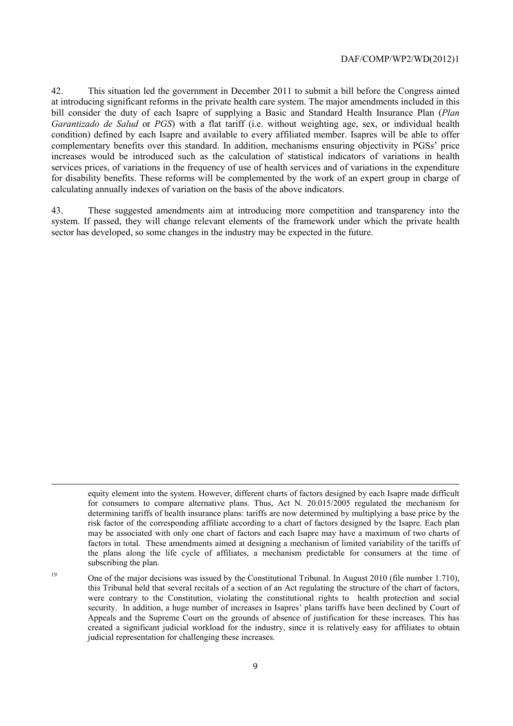42. This situation led the government in December 2011 to submit a bill before the Congress aimed at introducing significant reforms in the private health care system. The major amendments included in this bill consider the duty of each Isapre of supplying a Basic and Standard Health Insurance Plan (*Plan Garantizado de Salud* or *PGS*) with a flat tariff (i.e. without weighting age, sex, or individual health condition) defined by each Isapre and available to every affiliated member. Isapres will be able to offer complementary benefits over this standard. In addition, mechanisms ensuring objectivity in PGSs' price increases would be introduced such as the calculation of statistical indicators of variations in health services prices, of variations in the frequency of use of health services and of variations in the expenditure for disability benefits. These reforms will be complemented by the work of an expert group in charge of calculating annually indexes of variation on the basis of the above indicators.

43. These suggested amendments aim at introducing more competition and transparency into the system. If passed, they will change relevant elements of the framework under which the private health sector has developed, so some changes in the industry may be expected in the future.

-

equity element into the system. However, different charts of factors designed by each Isapre made difficult for consumers to compare alternative plans. Thus, Act N. 20.015/2005 regulated the mechanism for determining tariffs of health insurance plans: tariffs are now determined by multiplying a base price by the risk factor of the corresponding affiliate according to a chart of factors designed by the Isapre. Each plan may be associated with only one chart of factors and each Isapre may have a maximum of two charts of factors in total. These amendments aimed at designing a mechanism of limited variability of the tariffs of the plans along the life cycle of affiliates, a mechanism predictable for consumers at the time of subscribing the plan.

<sup>&</sup>lt;sup>19</sup> One of the major decisions was issued by the Constitutional Tribunal. In August 2010 (file number 1.710), this Tribunal held that several recitals of a section of an Act regulating the structure of the chart of factors, were contrary to the Constitution, violating the constitutional rights to health protection and social security. In addition, a huge number of increases in Isapres' plans tariffs have been declined by Court of Appeals and the Supreme Court on the grounds of absence of justification for these increases. This has created a significant judicial workload for the industry, since it is relatively easy for affiliates to obtain judicial representation for challenging these increases.